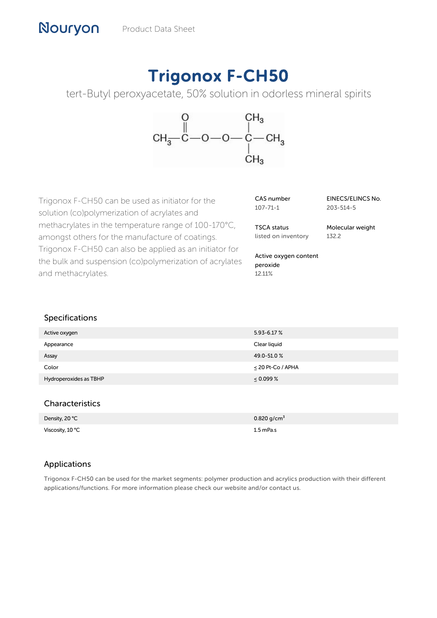# Trigonox F-CH50

tert-Butyl peroxyacetate, 50% solution in odorless mineral spirits



Trigonox F-CH50 can be used as initiator for the solution (co)polymerization of acrylates and methacrylates in the temperature range of 100-170°C, amongst others for the manufacture of coatings. Trigonox F-CH50 can also be applied as an initiator for the bulk and suspension (co)polymerization of acrylates and methacrylates.

| CAS number     |  |
|----------------|--|
| $107 - 71 - 1$ |  |

EINECS/ELINCS No. 203-514-5

TSCA status listed on inventory Molecular weight 132.2

Active oxygen content peroxide 12.11%

# Specifications

| Active oxygen          | $5.93 - 6.17 %$        |
|------------------------|------------------------|
| Appearance             | Clear liquid           |
| Assay                  | 49.0-51.0%             |
| Color                  | $\leq$ 20 Pt-Co / APHA |
| Hydroperoxides as TBHP | $\leq 0.099\%$         |
|                        |                        |

# **Characteristics**

| Density, 20 °C   | $0.820$ g/cm <sup>3</sup> |
|------------------|---------------------------|
| Viscosity, 10 °C | $1.5$ mPa.s               |

# Applications

Trigonox F-CH50 can be used for the market segments: polymer production and acrylics production with their different applications/functions. For more information please check our website and/or contact us.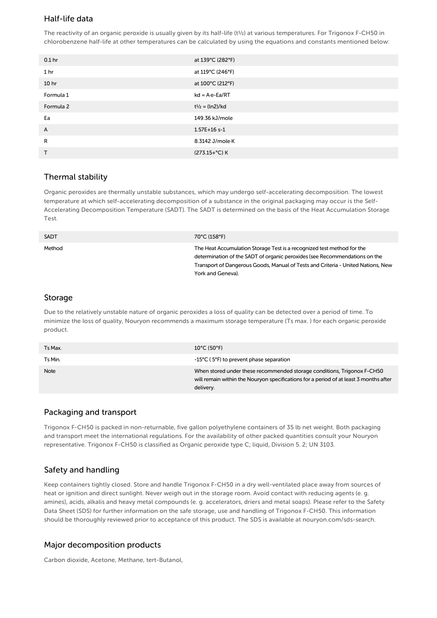## Half-life data

The reactivity of an organic peroxide is usually given by its half-life (t½) at various temperatures. For Trigonox F-CH50 in chlorobenzene half-life at other temperatures can be calculated by using the equations and constants mentioned below:

| 0.1 <sub>hr</sub> | at 139°C (282°F)         |
|-------------------|--------------------------|
| 1 <sub>hr</sub>   | at 119°C (246°F)         |
| 10 <sub>hr</sub>  | at 100°C (212°F)         |
| Formula 1         | $kd = A \cdot e - Ea/RT$ |
| Formula 2         | $t^{1/2} = (ln2)/kd$     |
| Ea                | 149.36 kJ/mole           |
| A                 | $1.57E+16s-1$            |
| R                 | 8.3142 J/mole K          |
| T                 | (273.15+°C) K            |

### Thermal stability

Organic peroxides are thermally unstable substances, which may undergo self-accelerating decomposition. The lowest temperature at which self-accelerating decomposition of a substance in the original packaging may occur is the Self-Accelerating Decomposition Temperature (SADT). The SADT is determined on the basis of the Heat Accumulation Storage Test.

| SADT   | 70°C (158°F)                                                                                                                                                                                                                                                  |
|--------|---------------------------------------------------------------------------------------------------------------------------------------------------------------------------------------------------------------------------------------------------------------|
| Method | The Heat Accumulation Storage Test is a recognized test method for the<br>determination of the SADT of organic peroxides (see Recommendations on the<br>Transport of Dangerous Goods, Manual of Tests and Criteria - United Nations, New<br>York and Geneva). |

#### Storage

Due to the relatively unstable nature of organic peroxides a loss of quality can be detected over a period of time. To minimize the loss of quality, Nouryon recommends a maximum storage temperature (Ts max. ) for each organic peroxide product.

| Ts Max. | $10^{\circ}$ C (50 $^{\circ}$ F)                                                                                                                                              |
|---------|-------------------------------------------------------------------------------------------------------------------------------------------------------------------------------|
| Ts Min. | -15°C (5°F) to prevent phase separation                                                                                                                                       |
| Note    | When stored under these recommended storage conditions, Trigonox F-CH50<br>will remain within the Nouryon specifications for a period of at least 3 months after<br>delivery. |

#### Packaging and transport

Trigonox F-CH50 is packed in non-returnable, five gallon polyethylene containers of 35 lb net weight. Both packaging and transport meet the international regulations. For the availability of other packed quantities consult your Nouryon representative. Trigonox F-CH50 is classified as Organic peroxide type C; liquid, Division 5. 2; UN 3103.

## Safety and handling

Keep containers tightly closed. Store and handle Trigonox F-CH50 in a dry well-ventilated place away from sources of heat or ignition and direct sunlight. Never weigh out in the storage room. Avoid contact with reducing agents (e. g. amines), acids, alkalis and heavy metal compounds (e. g. accelerators, driers and metal soaps). Please refer to the Safety Data Sheet (SDS) for further information on the safe storage, use and handling of Trigonox F-CH50. This information should be thoroughly reviewed prior to acceptance of this product. The SDS is available at nouryon.com/sds-search.

#### Major decomposition products

Carbon dioxide, Acetone, Methane, tert-Butanol,